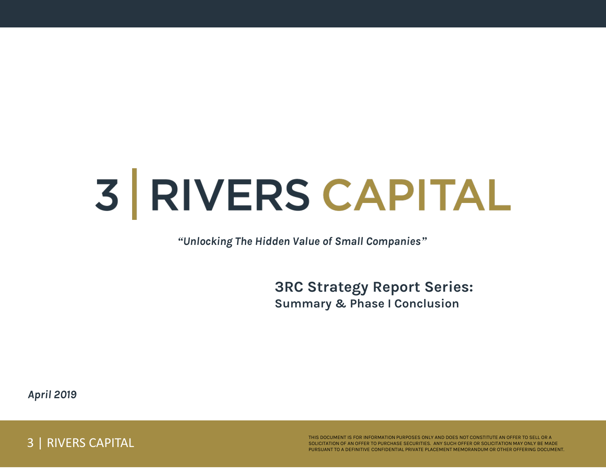# 3 RIVERS CAPITAL

*"Unlocking The Hidden Value of Small Companies"*

**3RC Strategy Report Series: Summary & Phase I Conclusion** 

*April 2019*

3 | RIVERS CAPITAL

THIS DOCUMENT IS FOR INFORMATION PURPOSES ONLY AND DOES NOT CONSTITUTE AN OFFER TO SELL OR A SOLICITATION OF AN OFFER TO PURCHASE SECURITIES. ANY SUCH OFFER OR SOLICITATION MAY ONLY BE MADE PURSUANT TO A DEFINITIVE CONFIDENTIAL PRIVATE PLACEMENT MEMORANDUM OR OTHER OFFERING DOCUMENT.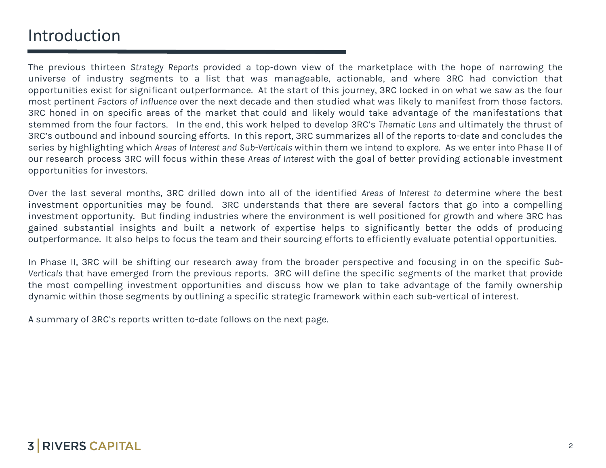## Introduction

The previous thirteen *Strategy Reports* provided a top-down view of the marketplace with the hope of narrowing the universe of industry segments to a list that was manageable, actionable, and where 3RC had conviction that opportunities exist for significant outperformance. At the start of this journey, 3RC locked in on what we saw as the four most pertinent *Factors of Influence* over the next decade and then studied what was likely to manifest from those factors. 3RC honed in on specific areas of the market that could and likely would take advantage of the manifestations that stemmed from the four factors. In the end, this work helped to develop 3RC's *Thematic Lens* and ultimately the thrust of 3RC's outbound and inbound sourcing efforts. In this report, 3RC summarizes all of the reports to-date and concludes the series by highlighting which *Areas of Interest and Sub-Verticals* within them we intend to explore. As we enter into Phase II of our research process 3RC will focus within these *Areas of Interest* with the goal of better providing actionable investment opportunities for investors.

Over the last several months, 3RC drilled down into all of the identified *Areas of Interest to* determine where the best investment opportunities may be found. 3RC understands that there are several factors that go into a compelling investment opportunity. But finding industries where the environment is well positioned for growth and where 3RC has gained substantial insights and built a network of expertise helps to significantly better the odds of producing outperformance. It also helps to focus the team and their sourcing efforts to efficiently evaluate potential opportunities.

In Phase II, 3RC will be shifting our research away from the broader perspective and focusing in on the specific *Sub-Verticals* that have emerged from the previous reports. 3RC will define the specific segments of the market that provide the most compelling investment opportunities and discuss how we plan to take advantage of the family ownership dynamic within those segments by outlining a specific strategic framework within each sub-vertical of interest.

A summary of 3RC's reports written to-date follows on the next page.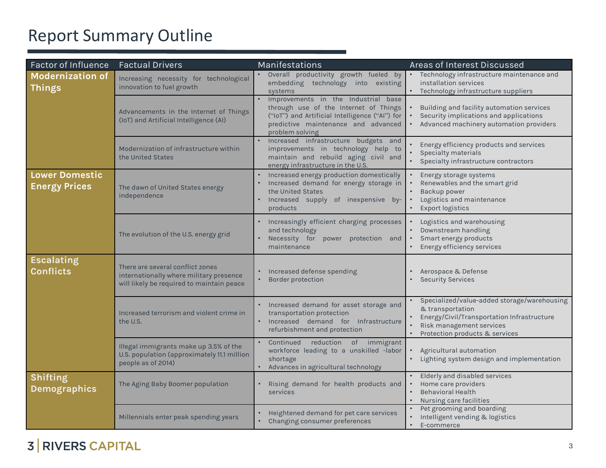## Report Summary Outline

| <b>Factor of Influence</b>                    | <b>Factual Drivers</b>                                                                                                   | Manifestations                                                                                                                                                                           | Areas of Interest Discussed                                                                                                                                                 |  |  |
|-----------------------------------------------|--------------------------------------------------------------------------------------------------------------------------|------------------------------------------------------------------------------------------------------------------------------------------------------------------------------------------|-----------------------------------------------------------------------------------------------------------------------------------------------------------------------------|--|--|
| <b>Modernization of</b><br><b>Things</b>      | Increasing necessity for technological<br>innovation to fuel growth                                                      | Overall productivity growth fueled by<br>embedding technology into existing<br>systems                                                                                                   | Technology infrastructure maintenance and<br>installation services<br>• Technology infrastructure suppliers                                                                 |  |  |
|                                               | Advancements in the Internet of Things<br>(IoT) and Artificial Intelligence (AI)                                         | Improvements in the Industrial base<br>through use of the Internet of Things<br>("IoT") and Artificial Intelligence ("AI") for<br>predictive maintenance and advanced<br>problem solving | Building and facility automation services<br>Security implications and applications<br>Advanced machinery automation providers                                              |  |  |
|                                               | Modernization of infrastructure within<br>the United States                                                              | Increased infrastructure budgets and<br>improvements in technology help to<br>maintain and rebuild aging civil and<br>energy infrastructure in the U.S.                                  | Energy efficiency products and services<br>Specialty materials<br>Specialty infrastructure contractors                                                                      |  |  |
| <b>Lower Domestic</b><br><b>Energy Prices</b> | The dawn of United States energy<br>independence                                                                         | Increased energy production domestically<br>Increased demand for energy storage in<br>the United States<br>Increased supply of inexpensive by-<br>products                               | Energy storage systems<br>Renewables and the smart grid<br>Backup power<br>Logistics and maintenance<br><b>Export logistics</b>                                             |  |  |
|                                               | The evolution of the U.S. energy grid                                                                                    | Increasingly efficient charging processes<br>and technology<br>Necessity for<br>power protection and<br>maintenance                                                                      | Logistics and warehousing<br>Downstream handling<br>Smart energy products<br>Energy efficiency services                                                                     |  |  |
| <b>Escalating</b><br><b>Conflicts</b>         | There are several conflict zones<br>internationally where military presence<br>will likely be required to maintain peace | Increased defense spending<br><b>Border protection</b>                                                                                                                                   | Aerospace & Defense<br><b>Security Services</b>                                                                                                                             |  |  |
|                                               | Increased terrorism and violent crime in<br>the U.S.                                                                     | Increased demand for asset storage and<br>transportation protection<br>Increased demand for Infrastructure<br>refurbishment and protection                                               | Specialized/value-added storage/warehousing<br>& transportation<br>Energy/Civil/Transportation Infrastructure<br>Risk management services<br>Protection products & services |  |  |
|                                               | Illegal immigrants make up 3.5% of the<br>U.S. population (approximately 11.1 million<br>people as of 2014)              | reduction of immigrant<br>Continued<br>workforce leading to a unskilled -labor<br>shortage<br>Advances in agricultural technology                                                        | Agricultural automation<br>Lighting system design and implementation                                                                                                        |  |  |
| Shifting<br><b>Demographics</b>               | The Aging Baby Boomer population                                                                                         | Rising demand for health products and<br>services                                                                                                                                        | Elderly and disabled services<br>Home care providers<br><b>Behavioral Health</b><br>Nursing care facilities                                                                 |  |  |
|                                               | Millennials enter peak spending years                                                                                    | Heightened demand for pet care services<br>Changing consumer preferences                                                                                                                 | Pet grooming and boarding<br>Intelligent vending & logistics<br>E-commerce                                                                                                  |  |  |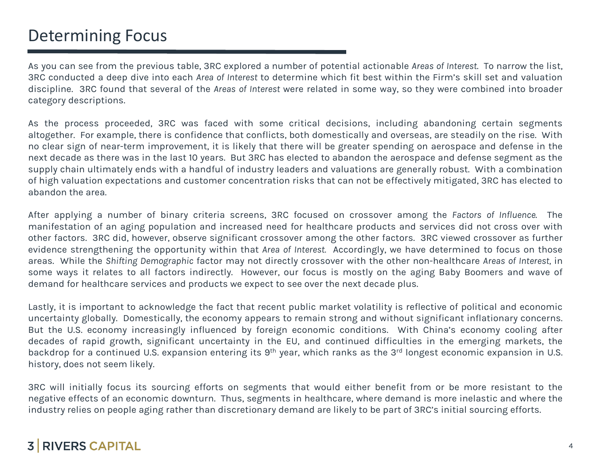## Determining Focus

As you can see from the previous table, 3RC explored a number of potential actionable *Areas of Interest*. To narrow the list, 3RC conducted a deep dive into each *Area of Interest* to determine which fit best within the Firm's skill set and valuation discipline. 3RC found that several of the *Areas of Interest* were related in some way, so they were combined into broader category descriptions.

As the process proceeded, 3RC was faced with some critical decisions, including abandoning certain segments altogether. For example, there is confidence that conflicts, both domestically and overseas, are steadily on the rise. With no clear sign of near-term improvement, it is likely that there will be greater spending on aerospace and defense in the next decade as there was in the last 10 years. But 3RC has elected to abandon the aerospace and defense segment as the supply chain ultimately ends with a handful of industry leaders and valuations are generally robust. With a combination of high valuation expectations and customer concentration risks that can not be effectively mitigated, 3RC has elected to abandon the area.

After applying a number of binary criteria screens, 3RC focused on crossover among the *Factors of Influence*. The manifestation of an aging population and increased need for healthcare products and services did not cross over with other factors. 3RC did, however, observe significant crossover among the other factors. 3RC viewed crossover as further evidence strengthening the opportunity within that *Area of Interest.* Accordingly, we have determined to focus on those areas. While the *Shifting Demographic* factor may not directly crossover with the other non-healthcare *Areas of Interest,* in some ways it relates to all factors indirectly. However, our focus is mostly on the aging Baby Boomers and wave of demand for healthcare services and products we expect to see over the next decade plus.

Lastly, it is important to acknowledge the fact that recent public market volatility is reflective of political and economic uncertainty globally. Domestically, the economy appears to remain strong and without significant inflationary concerns. But the U.S. economy increasingly influenced by foreign economic conditions. With China's economy cooling after decades of rapid growth, significant uncertainty in the EU, and continued difficulties in the emerging markets, the backdrop for a continued U.S. expansion entering its 9<sup>th</sup> year, which ranks as the 3<sup>rd</sup> longest economic expansion in U.S. history, does not seem likely.

3RC will initially focus its sourcing efforts on segments that would either benefit from or be more resistant to the negative effects of an economic downturn. Thus, segments in healthcare, where demand is more inelastic and where the industry relies on people aging rather than discretionary demand are likely to be part of 3RC's initial sourcing efforts.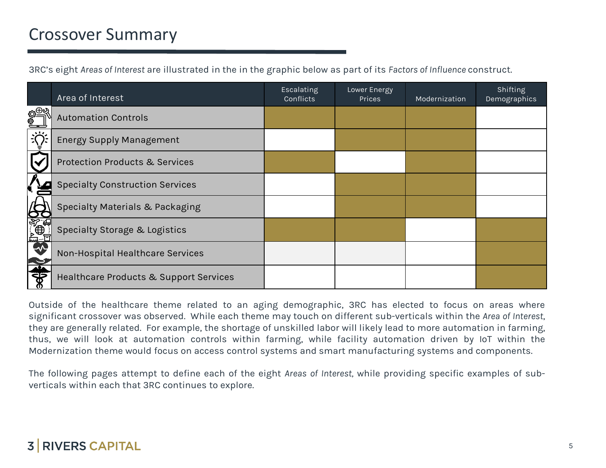## Crossover Summary

3RC's eight *Areas of Interest* are illustrated in the in the graphic below as part of its *Factors of Influence* construct.

|                         | Area of Interest                          | Escalating<br><b>Conflicts</b> | Lower Energy<br>Prices | Modernization | Shifting<br>Demographics |
|-------------------------|-------------------------------------------|--------------------------------|------------------------|---------------|--------------------------|
| $\overline{\mathbb{R}}$ | <b>Automation Controls</b>                |                                |                        |               |                          |
| $\frac{1}{2}$           | <b>Energy Supply Management</b>           |                                |                        |               |                          |
|                         | <b>Protection Products &amp; Services</b> |                                |                        |               |                          |
|                         | <b>Specialty Construction Services</b>    |                                |                        |               |                          |
|                         | Specialty Materials & Packaging           |                                |                        |               |                          |
| <b>E SALE</b>           | Specialty Storage & Logistics             |                                |                        |               |                          |
| $\rightarrow$           | Non-Hospital Healthcare Services          |                                |                        |               |                          |
| ङ्क                     | Healthcare Products & Support Services    |                                |                        |               |                          |

Outside of the healthcare theme related to an aging demographic, 3RC has elected to focus on areas where significant crossover was observed. While each theme may touch on different sub-verticals within the *Area of Interest*, they are generally related. For example, the shortage of unskilled labor will likely lead to more automation in farming, thus, we will look at automation controls within farming, while facility automation driven by IoT within the Modernization theme would focus on access control systems and smart manufacturing systems and components.

The following pages attempt to define each of the eight *Areas of Interest,* while providing specific examples of subverticals within each that 3RC continues to explore.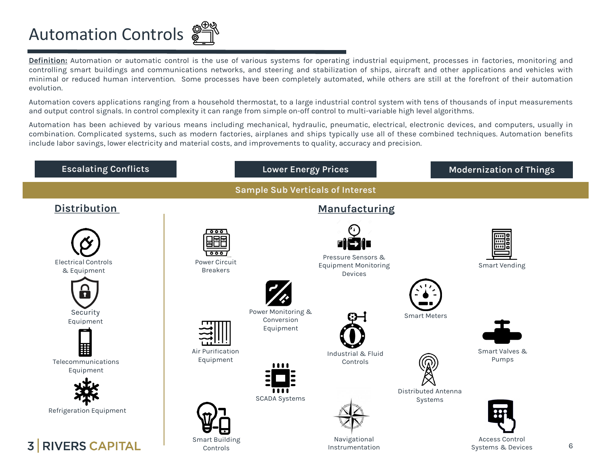## Automation Controls

**Definition:** Automation or automatic control is the use of various systems for operating industrial equipment, processes in factories, monitoring and controlling smart buildings and communications networks, and steering and stabilization of ships, aircraft and other applications and vehicles with minimal or reduced human intervention. Some processes have been completely automated, while others are still at the forefront of their automation evolution.

Automation covers applications ranging from a household thermostat, to a large industrial control system with tens of thousands of input measurements and output control signals. In control complexity it can range from simple on-off control to multi-variable high level algorithms.

Automation has been achieved by various means including mechanical, hydraulic, pneumatic, electrical, electronic devices, and computers, usually in combination. Complicated systems, such as modern factories, airplanes and ships typically use all of these combined techniques. Automation benefits include labor savings, lower electricity and material costs, and improvements to quality, accuracy and precision.

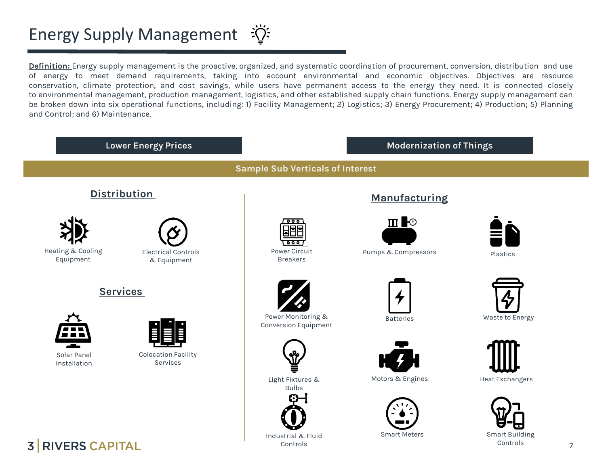## Energy Supply Management  $\mathcal{D}^{\mathcal{L}}$

**Definition:** Energy supply management is the proactive, organized, and systematic coordination of procurement, conversion, distribution and use of energy to meet demand requirements, taking into account environmental and economic objectives. Objectives are resource conservation, climate protection, and cost savings, while users have permanent access to the energy they need. It is connected closely to environmental management, production management, logistics, and other established supply chain functions. Energy supply management can be broken down into six operational functions, including: 1) Facility Management; 2) Logistics; 3) Energy Procurement; 4) Production; 5) Planning and Control; and 6) Maintenance.

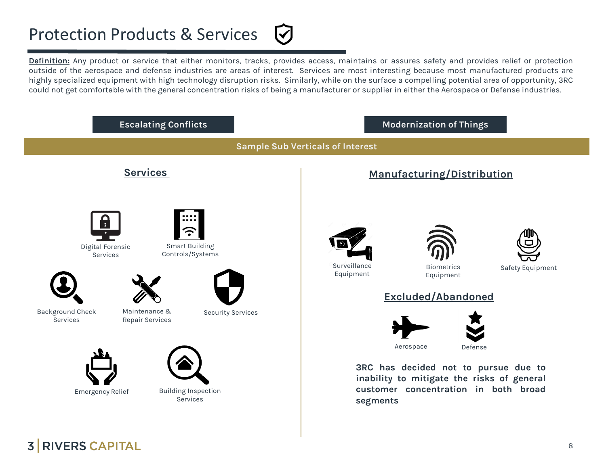## Protection Products & Services

**Definition:** Any product or service that either monitors, tracks, provides access, maintains or assures safety and provides relief or protection outside of the aerospace and defense industries are areas of interest. Services are most interesting because most manufactured products are highly specialized equipment with high technology disruption risks. Similarly, while on the surface a compelling potential area of opportunity, 3RC could not get comfortable with the general concentration risks of being a manufacturer or supplier in either the Aerospace or Defense industries.

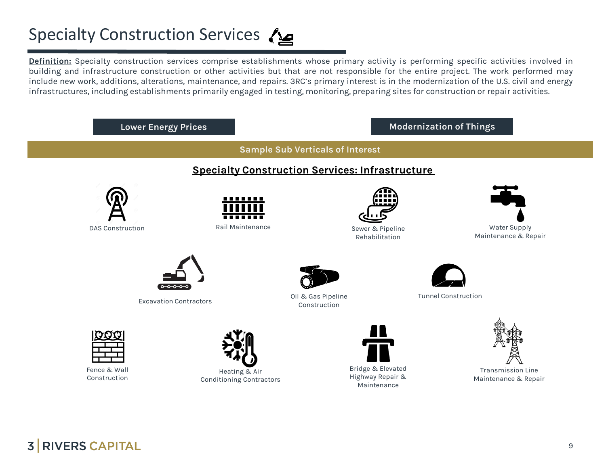## Specialty Construction Services

**Definition:** Specialty construction services comprise establishments whose primary activity is performing specific activities involved in building and infrastructure construction or other activities but that are not responsible for the entire project. The work performed may include new work, additions, alterations, maintenance, and repairs. 3RC's primary interest is in the modernization of the U.S. civil and energy infrastructures, including establishments primarily engaged in testing, monitoring, preparing sites for construction or repair activities.

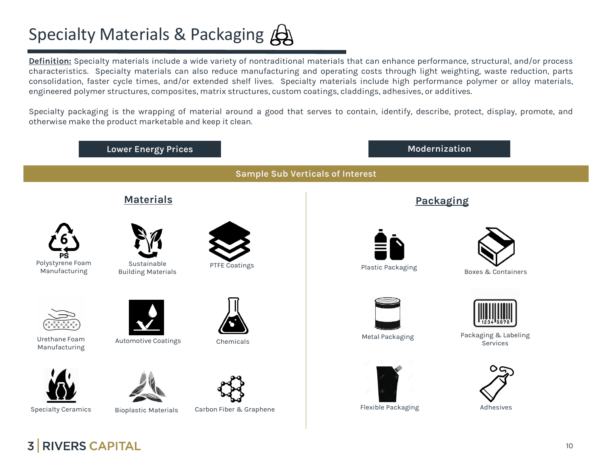## Specialty Materials & Packaging  $\bigtriangleup$

**Definition:** Specialty materials include a wide variety of nontraditional materials that can enhance performance, structural, and/or process characteristics. Specialty materials can also reduce manufacturing and operating costs through light weighting, waste reduction, parts consolidation, faster cycle times, and/or extended shelf lives. Specialty materials include high performance polymer or alloy materials, engineered polymer structures, composites, matrix structures, custom coatings, claddings, adhesives, or additives.

Specialty packaging is the wrapping of material around a good that serves to contain, identify, describe, protect, display, promote, and otherwise make the product marketable and keep it clean.

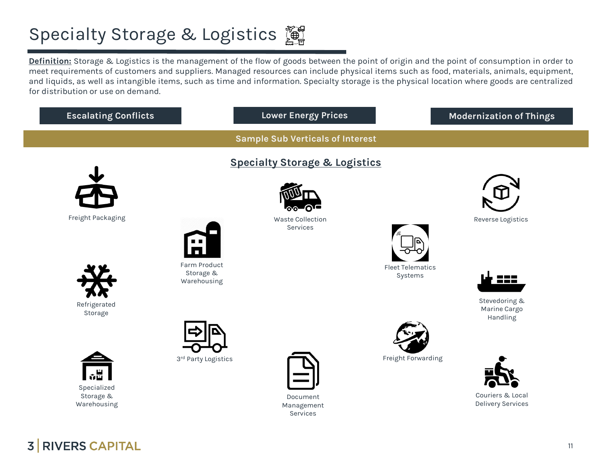## **Specialty Storage & Logistics**

**Definition:** Storage & Logistics is the management of the flow of goods between the point of origin and the point of consumption in order to meet requirements of customers and suppliers. Managed resources can include physical items such as food, materials, animals, equipment, and liquids, as well as intangible items, such as time and information. Specialty storage is the physical location where goods are centralized for distribution or use on demand.

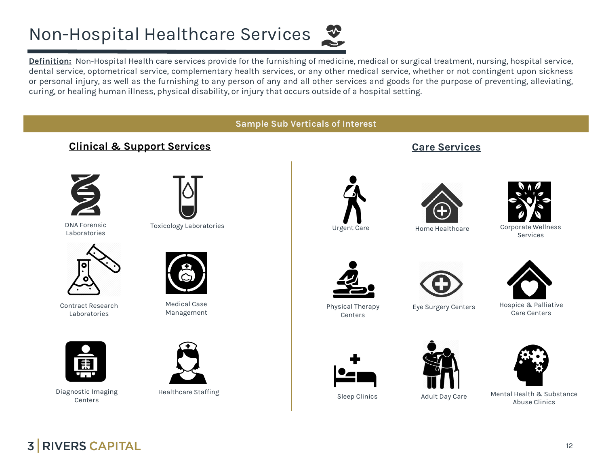## Non-Hospital Healthcare Services



**Definition:** Non-Hospital Health care services provide for the furnishing of medicine, medical or surgical treatment, nursing, hospital service, dental service, optometrical service, complementary health services, or any other medical service, whether or not contingent upon sickness or personal injury, as well as the furnishing to any person of any and all other services and goods for the purpose of preventing, alleviating, curing, or healing human illness, physical disability, or injury that occurs outside of a hospital setting.

#### **Sample Sub Verticals of Interest**

#### **Clinical & Support Services**



DNA Forensic Laboratories



Toxicology Laboratories **Exercise Exercise Access** Urgent Care



Contract Research Laboratories



Medical Case Management



Diagnostic Imaging **Centers** 



Healthcare Staffing



**Care Services**



Home Healthcare Corporate Wellness Services

Physical Therapy



Eye Surgery Centers Hospice & Palliative Care Centers



Sleep Clinics Adult Day Care



Mental Health & Substance Abuse Clinics



**Centers** 



**3 RIVERS CAPITAL**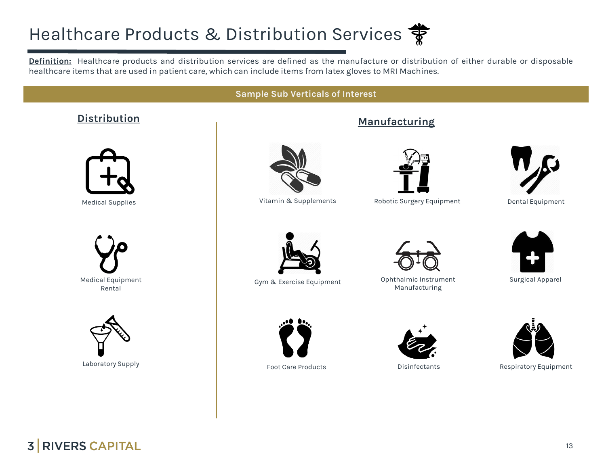## Healthcare Products & Distribution Services **等**

**Definition:** Healthcare products and distribution services are defined as the manufacture or distribution of either durable or disposable healthcare items that are used in patient care, which can include items from latex gloves to MRI Machines.

#### **Sample Sub Verticals of Interest**

#### **Distribution Manufacturing**



Medical Supplies





Laboratory Supply



Vitamin & Supplements



Robotic Surgery Equipment





Gym & Exercise Equipment Ophthalmic Instrument Manufacturing







Dental Equipment



Surgical Apparel



Foot Care Products Disinfectants Respiratory Equipment